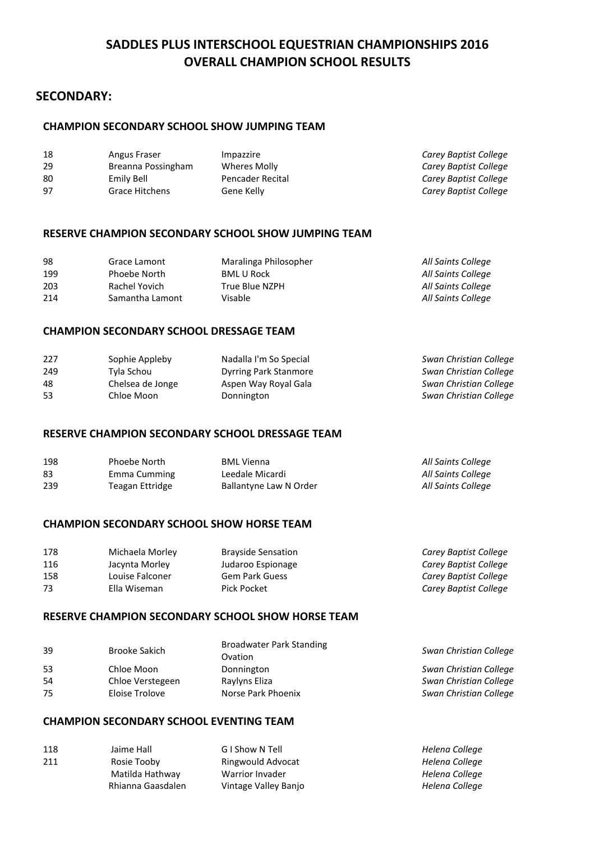# **SADDLES PLUS INTERSCHOOL EQUESTRIAN CHAMPIONSHIPS 2016 OVERALL CHAMPION SCHOOL RESULTS**

# **SECONDARY:**

### **CHAMPION SECONDARY SCHOOL SHOW JUMPING TEAM**

| Angus Fraser       | Impazzire        | Carey Baptist College |
|--------------------|------------------|-----------------------|
| Breanna Possingham | Wheres Molly     | Carey Baptist College |
| Emily Bell         | Pencader Recital | Carey Baptist College |
| Grace Hitchens     | Gene Kelly       | Carey Baptist College |
|                    |                  |                       |

### **RESERVE CHAMPION SECONDARY SCHOOL SHOW JUMPING TEAM**

| 98  | Grace Lamont    | Maralinga Philosopher | All Saints College |
|-----|-----------------|-----------------------|--------------------|
| 199 | Phoebe North    | <b>BML U Rock</b>     | All Saints College |
| 203 | Rachel Yovich   | True Blue NZPH        | All Saints College |
| 214 | Samantha Lamont | Visable               | All Saints College |

### **CHAMPION SECONDARY SCHOOL DRESSAGE TEAM**

| 227 | Sophie Appleby   | Nadalla I'm So Special       | Swan Christian College |
|-----|------------------|------------------------------|------------------------|
| 249 | Tyla Schou       | <b>Dyrring Park Stanmore</b> | Swan Christian College |
| 48  | Chelsea de Jonge | Aspen Way Royal Gala         | Swan Christian College |
| 53  | Chloe Moon       | Donnington                   | Swan Christian College |

### **RESERVE CHAMPION SECONDARY SCHOOL DRESSAGE TEAM**

| 198 | Phoebe North    | <b>BML Vienna</b>      | All Saints College |
|-----|-----------------|------------------------|--------------------|
| 83  | Emma Cumming    | Leedale Micardi        | All Saints College |
| 239 | Teagan Ettridge | Ballantyne Law N Order | All Saints College |

### **CHAMPION SECONDARY SCHOOL SHOW HORSE TEAM**

| Michaela Morley | <b>Brayside Sensation</b> | Carey Baptist College |
|-----------------|---------------------------|-----------------------|
| Jacynta Morley  | Judaroo Espionage         | Carey Baptist College |
| Louise Falconer | <b>Gem Park Guess</b>     | Carey Baptist College |
| Ella Wiseman    | Pick Pocket               | Carey Baptist College |
|                 |                           |                       |

### **RESERVE CHAMPION SECONDARY SCHOOL SHOW HORSE TEAM**

| Swan Christian College |
|------------------------|
| Swan Christian College |
| Swan Christian College |
| Swan Christian College |
|                        |

# **CHAMPION SECONDARY SCHOOL EVENTING TEAM**

| 118 | Jaime Hall        | G I Show N Tell      | Helena College |
|-----|-------------------|----------------------|----------------|
| 211 | Rosie Tooby       | Ringwould Advocat    | Helena College |
|     | Matilda Hathway   | Warrior Invader      | Helena College |
|     | Rhianna Gaasdalen | Vintage Valley Banjo | Helena College |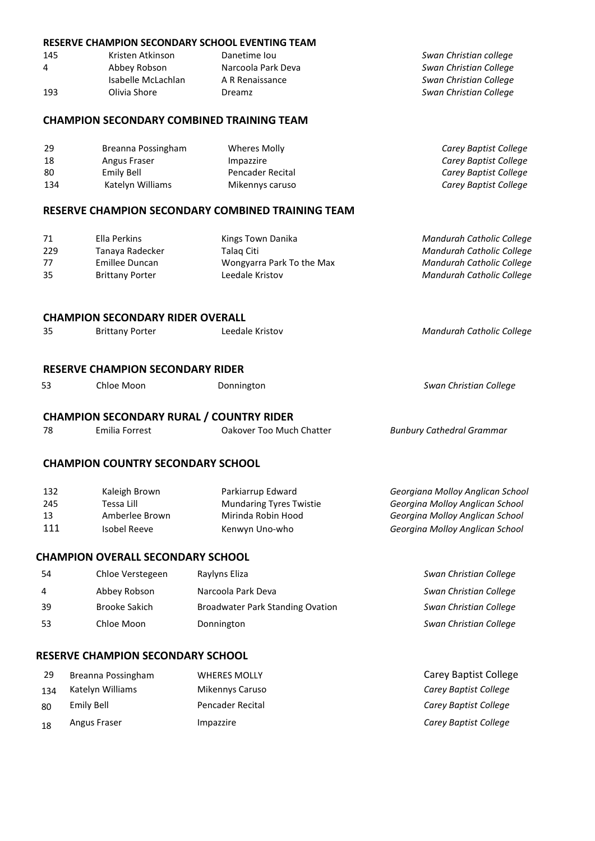#### **RESERVE CHAMPION SECONDARY SCHOOL EVENTING TEAM**

| Kristen Atkinson   | Danetime lou       | Swan Christian college |
|--------------------|--------------------|------------------------|
| Abbey Robson       | Narcoola Park Deva | Swan Christian College |
| Isabelle McLachlan | A R Renaissance    | Swan Christian College |
| Olivia Shore       | Dreamz             | Swan Christian College |
|                    |                    |                        |

#### **CHAMPION SECONDARY COMBINED TRAINING TEAM**

| 29  | Breanna Possingham | Wheres Molly     | Carey Baptist College |
|-----|--------------------|------------------|-----------------------|
| 18  | Angus Fraser       | Impazzire        | Carey Baptist College |
| 80  | Emily Bell         | Pencader Recital | Carey Baptist College |
| 134 | Katelyn Williams   | Mikennys caruso  | Carey Baptist College |

#### **RESERVE CHAMPION SECONDARY COMBINED TRAINING TEAM**

| 71  | Ella Perkins           | Kings Town Danika         | Mandurah Catholic College |
|-----|------------------------|---------------------------|---------------------------|
| 229 | Tanaya Radecker        | Talag Citi                | Mandurah Catholic College |
| 77  | Emillee Duncan         | Wongyarra Park To the Max | Mandurah Catholic College |
| 35  | <b>Brittany Porter</b> | Leedale Kristov           | Mandurah Catholic College |
|     |                        |                           |                           |

#### **CHAMPION SECONDARY RIDER OVERALL**

| 35 | <b>Brittany Porter</b> | Leedale Kristov | Mandurah Catholic College |
|----|------------------------|-----------------|---------------------------|
|    |                        |                 |                           |

### **RESERVE CHAMPION SECONDARY RIDER**

| 53 | Chloe Moon | Donnington | Swan Christian College |
|----|------------|------------|------------------------|
|    |            |            |                        |

# **CHAMPION SECONDARY RURAL / COUNTRY RIDER**

| <b>Bunbury Cathedral Grammar</b><br>78<br>Oakover Too Much Chatter<br>Emilia Forrest |  |
|--------------------------------------------------------------------------------------|--|
|--------------------------------------------------------------------------------------|--|

### **CHAMPION COUNTRY SECONDARY SCHOOL**

| 132 | Kaleigh Brown  | Parkiarrup Edward              | Georgiana Molloy Anglican School |
|-----|----------------|--------------------------------|----------------------------------|
| 245 | Tessa Lill     | <b>Mundaring Tyres Twistie</b> | Georgina Molloy Anglican School  |
| 13  | Amberlee Brown | Mirinda Robin Hood             | Georgina Molloy Anglican School  |
| 111 | Isobel Reeve   | Kenwyn Uno-who                 | Georgina Molloy Anglican School  |

### **CHAMPION OVERALL SECONDARY SCHOOL**

| 54  | Chloe Verstegeen | Raylyns Eliza                           | Swan Christian College |
|-----|------------------|-----------------------------------------|------------------------|
| 4   | Abbey Robson     | Narcoola Park Deva                      | Swan Christian College |
| 39  | Brooke Sakich    | <b>Broadwater Park Standing Ovation</b> | Swan Christian College |
| -53 | Chloe Moon       | Donnington                              | Swan Christian College |
|     |                  |                                         |                        |

### **RESERVE CHAMPION SECONDARY SCHOOL**

| 29  | Breanna Possingham | <b>WHERES MOLLY</b> | <b>Carey Baptist College</b> |
|-----|--------------------|---------------------|------------------------------|
| 134 | Katelyn Williams   | Mikennys Caruso     | Carey Baptist College        |
| 80  | Emily Bell         | Pencader Recital    | Carey Baptist College        |
| 18  | Angus Fraser       | Impazzire           | Carey Baptist College        |